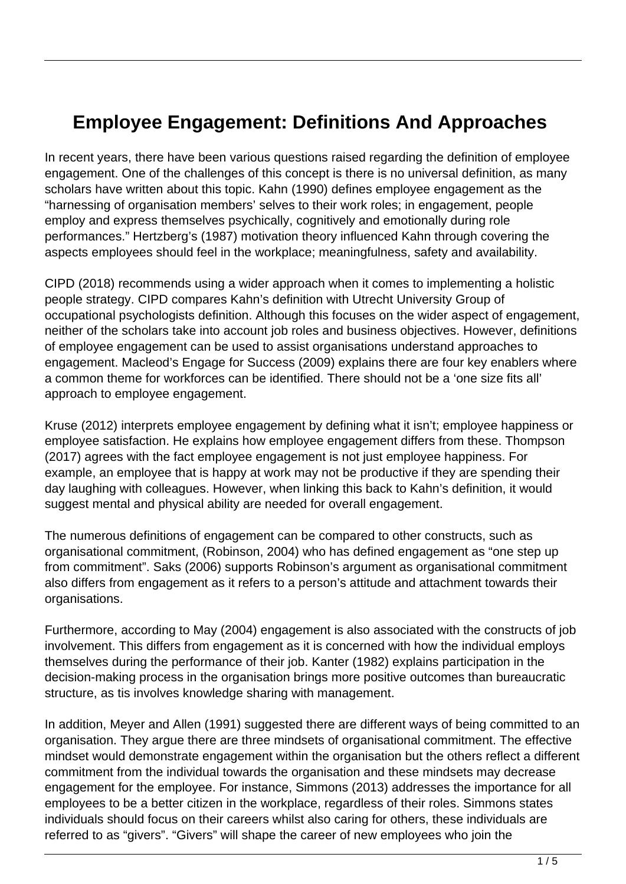## **Employee Engagement: Definitions And Approaches**

In recent years, there have been various questions raised regarding the definition of employee engagement. One of the challenges of this concept is there is no universal definition, as many scholars have written about this topic. Kahn (1990) defines employee engagement as the "harnessing of organisation members' selves to their work roles; in engagement, people employ and express themselves psychically, cognitively and emotionally during role performances." Hertzberg's (1987) motivation theory influenced Kahn through covering the aspects employees should feel in the workplace; meaningfulness, safety and availability.

CIPD (2018) recommends using a wider approach when it comes to implementing a holistic people strategy. CIPD compares Kahn's definition with Utrecht University Group of occupational psychologists definition. Although this focuses on the wider aspect of engagement, neither of the scholars take into account job roles and business objectives. However, definitions of employee engagement can be used to assist organisations understand approaches to engagement. Macleod's Engage for Success (2009) explains there are four key enablers where a common theme for workforces can be identified. There should not be a 'one size fits all' approach to employee engagement.

Kruse (2012) interprets employee engagement by defining what it isn't; employee happiness or employee satisfaction. He explains how employee engagement differs from these. Thompson (2017) agrees with the fact employee engagement is not just employee happiness. For example, an employee that is happy at work may not be productive if they are spending their day laughing with colleagues. However, when linking this back to Kahn's definition, it would suggest mental and physical ability are needed for overall engagement.

The numerous definitions of engagement can be compared to other constructs, such as organisational commitment, (Robinson, 2004) who has defined engagement as "one step up from commitment". Saks (2006) supports Robinson's argument as organisational commitment also differs from engagement as it refers to a person's attitude and attachment towards their organisations.

Furthermore, according to May (2004) engagement is also associated with the constructs of job involvement. This differs from engagement as it is concerned with how the individual employs themselves during the performance of their job. Kanter (1982) explains participation in the decision-making process in the organisation brings more positive outcomes than bureaucratic structure, as tis involves knowledge sharing with management.

In addition, Meyer and Allen (1991) suggested there are different ways of being committed to an organisation. They argue there are three mindsets of organisational commitment. The effective mindset would demonstrate engagement within the organisation but the others reflect a different commitment from the individual towards the organisation and these mindsets may decrease engagement for the employee. For instance, Simmons (2013) addresses the importance for all employees to be a better citizen in the workplace, regardless of their roles. Simmons states individuals should focus on their careers whilst also caring for others, these individuals are referred to as "givers". "Givers" will shape the career of new employees who join the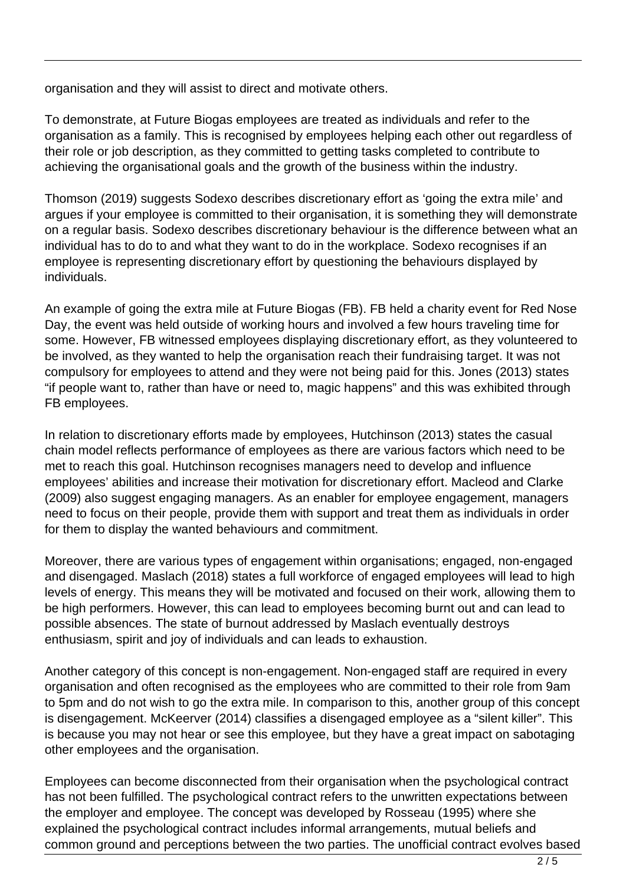organisation and they will assist to direct and motivate others.

To demonstrate, at Future Biogas employees are treated as individuals and refer to the organisation as a family. This is recognised by employees helping each other out regardless of their role or job description, as they committed to getting tasks completed to contribute to achieving the organisational goals and the growth of the business within the industry.

Thomson (2019) suggests Sodexo describes discretionary effort as 'going the extra mile' and argues if your employee is committed to their organisation, it is something they will demonstrate on a regular basis. Sodexo describes discretionary behaviour is the difference between what an individual has to do to and what they want to do in the workplace. Sodexo recognises if an employee is representing discretionary effort by questioning the behaviours displayed by individuals.

An example of going the extra mile at Future Biogas (FB). FB held a charity event for Red Nose Day, the event was held outside of working hours and involved a few hours traveling time for some. However, FB witnessed employees displaying discretionary effort, as they volunteered to be involved, as they wanted to help the organisation reach their fundraising target. It was not compulsory for employees to attend and they were not being paid for this. Jones (2013) states "if people want to, rather than have or need to, magic happens" and this was exhibited through FB employees.

In relation to discretionary efforts made by employees, Hutchinson (2013) states the casual chain model reflects performance of employees as there are various factors which need to be met to reach this goal. Hutchinson recognises managers need to develop and influence employees' abilities and increase their motivation for discretionary effort. Macleod and Clarke (2009) also suggest engaging managers. As an enabler for employee engagement, managers need to focus on their people, provide them with support and treat them as individuals in order for them to display the wanted behaviours and commitment.

Moreover, there are various types of engagement within organisations; engaged, non-engaged and disengaged. Maslach (2018) states a full workforce of engaged employees will lead to high levels of energy. This means they will be motivated and focused on their work, allowing them to be high performers. However, this can lead to employees becoming burnt out and can lead to possible absences. The state of burnout addressed by Maslach eventually destroys enthusiasm, spirit and joy of individuals and can leads to exhaustion.

Another category of this concept is non-engagement. Non-engaged staff are required in every organisation and often recognised as the employees who are committed to their role from 9am to 5pm and do not wish to go the extra mile. In comparison to this, another group of this concept is disengagement. McKeerver (2014) classifies a disengaged employee as a "silent killer". This is because you may not hear or see this employee, but they have a great impact on sabotaging other employees and the organisation.

Employees can become disconnected from their organisation when the psychological contract has not been fulfilled. The psychological contract refers to the unwritten expectations between the employer and employee. The concept was developed by Rosseau (1995) where she explained the psychological contract includes informal arrangements, mutual beliefs and common ground and perceptions between the two parties. The unofficial contract evolves based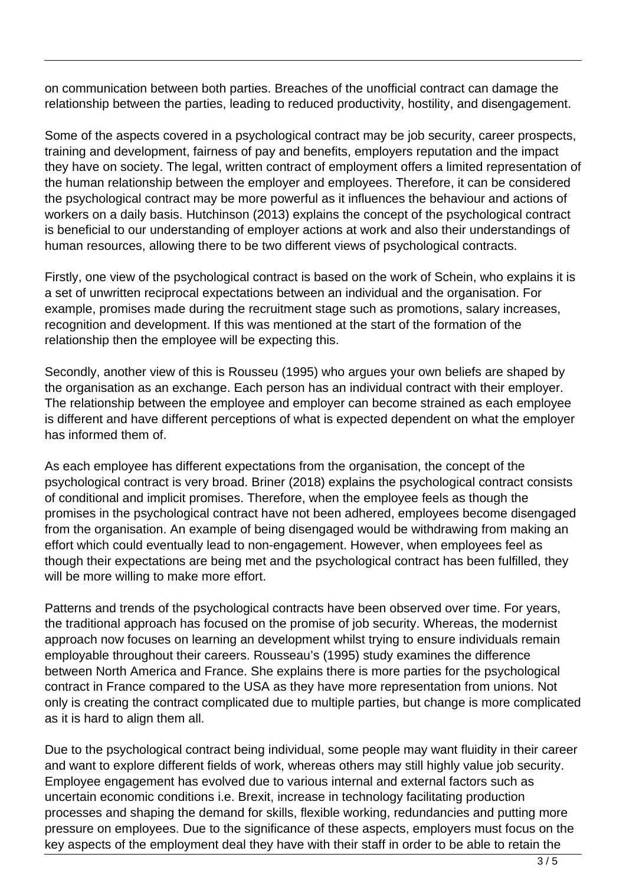on communication between both parties. Breaches of the unofficial contract can damage the relationship between the parties, leading to reduced productivity, hostility, and disengagement.

Some of the aspects covered in a psychological contract may be job security, career prospects, training and development, fairness of pay and benefits, employers reputation and the impact they have on society. The legal, written contract of employment offers a limited representation of the human relationship between the employer and employees. Therefore, it can be considered the psychological contract may be more powerful as it influences the behaviour and actions of workers on a daily basis. Hutchinson (2013) explains the concept of the psychological contract is beneficial to our understanding of employer actions at work and also their understandings of human resources, allowing there to be two different views of psychological contracts.

Firstly, one view of the psychological contract is based on the work of Schein, who explains it is a set of unwritten reciprocal expectations between an individual and the organisation. For example, promises made during the recruitment stage such as promotions, salary increases, recognition and development. If this was mentioned at the start of the formation of the relationship then the employee will be expecting this.

Secondly, another view of this is Rousseu (1995) who argues your own beliefs are shaped by the organisation as an exchange. Each person has an individual contract with their employer. The relationship between the employee and employer can become strained as each employee is different and have different perceptions of what is expected dependent on what the employer has informed them of.

As each employee has different expectations from the organisation, the concept of the psychological contract is very broad. Briner (2018) explains the psychological contract consists of conditional and implicit promises. Therefore, when the employee feels as though the promises in the psychological contract have not been adhered, employees become disengaged from the organisation. An example of being disengaged would be withdrawing from making an effort which could eventually lead to non-engagement. However, when employees feel as though their expectations are being met and the psychological contract has been fulfilled, they will be more willing to make more effort.

Patterns and trends of the psychological contracts have been observed over time. For years, the traditional approach has focused on the promise of job security. Whereas, the modernist approach now focuses on learning an development whilst trying to ensure individuals remain employable throughout their careers. Rousseau's (1995) study examines the difference between North America and France. She explains there is more parties for the psychological contract in France compared to the USA as they have more representation from unions. Not only is creating the contract complicated due to multiple parties, but change is more complicated as it is hard to align them all.

Due to the psychological contract being individual, some people may want fluidity in their career and want to explore different fields of work, whereas others may still highly value job security. Employee engagement has evolved due to various internal and external factors such as uncertain economic conditions i.e. Brexit, increase in technology facilitating production processes and shaping the demand for skills, flexible working, redundancies and putting more pressure on employees. Due to the significance of these aspects, employers must focus on the key aspects of the employment deal they have with their staff in order to be able to retain the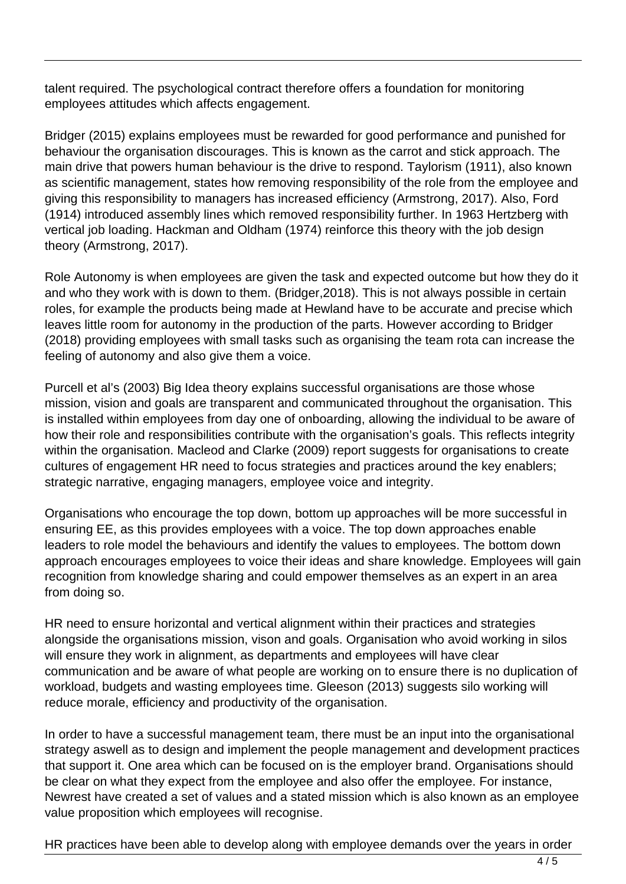talent required. The psychological contract therefore offers a foundation for monitoring employees attitudes which affects engagement.

Bridger (2015) explains employees must be rewarded for good performance and punished for behaviour the organisation discourages. This is known as the carrot and stick approach. The main drive that powers human behaviour is the drive to respond. Taylorism (1911), also known as scientific management, states how removing responsibility of the role from the employee and giving this responsibility to managers has increased efficiency (Armstrong, 2017). Also, Ford (1914) introduced assembly lines which removed responsibility further. In 1963 Hertzberg with vertical job loading. Hackman and Oldham (1974) reinforce this theory with the job design theory (Armstrong, 2017).

Role Autonomy is when employees are given the task and expected outcome but how they do it and who they work with is down to them. (Bridger,2018). This is not always possible in certain roles, for example the products being made at Hewland have to be accurate and precise which leaves little room for autonomy in the production of the parts. However according to Bridger (2018) providing employees with small tasks such as organising the team rota can increase the feeling of autonomy and also give them a voice.

Purcell et al's (2003) Big Idea theory explains successful organisations are those whose mission, vision and goals are transparent and communicated throughout the organisation. This is installed within employees from day one of onboarding, allowing the individual to be aware of how their role and responsibilities contribute with the organisation's goals. This reflects integrity within the organisation. Macleod and Clarke (2009) report suggests for organisations to create cultures of engagement HR need to focus strategies and practices around the key enablers; strategic narrative, engaging managers, employee voice and integrity.

Organisations who encourage the top down, bottom up approaches will be more successful in ensuring EE, as this provides employees with a voice. The top down approaches enable leaders to role model the behaviours and identify the values to employees. The bottom down approach encourages employees to voice their ideas and share knowledge. Employees will gain recognition from knowledge sharing and could empower themselves as an expert in an area from doing so.

HR need to ensure horizontal and vertical alignment within their practices and strategies alongside the organisations mission, vison and goals. Organisation who avoid working in silos will ensure they work in alignment, as departments and employees will have clear communication and be aware of what people are working on to ensure there is no duplication of workload, budgets and wasting employees time. Gleeson (2013) suggests silo working will reduce morale, efficiency and productivity of the organisation.

In order to have a successful management team, there must be an input into the organisational strategy aswell as to design and implement the people management and development practices that support it. One area which can be focused on is the employer brand. Organisations should be clear on what they expect from the employee and also offer the employee. For instance, Newrest have created a set of values and a stated mission which is also known as an employee value proposition which employees will recognise.

HR practices have been able to develop along with employee demands over the years in order